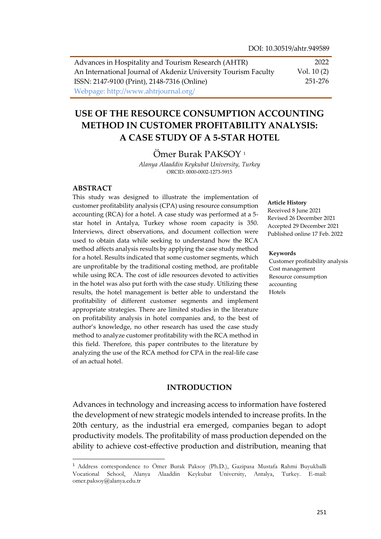| Advances in Hospitality and Tourism Research (AHTR)            | 2022         |
|----------------------------------------------------------------|--------------|
| An International Journal of Akdeniz University Tourism Faculty | Vol. $10(2)$ |
| ISSN: 2147-9100 (Print), 2148-7316 (Online)                    | 251-276      |
| Webpage: http://www.ahtrjournal.org/                           |              |

# **USE OF THE RESOURCE CONSUMPTION ACCOUNTING METHOD IN CUSTOMER PROFITABILITY ANALYSIS: A CASE STUDY OF A 5-STAR HOTEL**

Ömer Burak PAKSOY <sup>1</sup>

*Alanya Alaaddin Keykubat University, Turkey* ORCID: 0000-0002-1273-5915

#### **ABSTRACT**

 $\overline{a}$ 

This study was designed to illustrate the implementation of customer profitability analysis (CPA) using resource consumption accounting (RCA) for a hotel. A case study was performed at a 5 star hotel in Antalya, Turkey whose room capacity is 350. Interviews, direct observations, and document collection were used to obtain data while seeking to understand how the RCA method affects analysis results by applying the case study method for a hotel. Results indicated that some customer segments, which are unprofitable by the traditional costing method, are profitable while using RCA. The cost of idle resources devoted to activities in the hotel was also put forth with the case study. Utilizing these results, the hotel management is better able to understand the profitability of different customer segments and implement appropriate strategies. There are limited studies in the literature on profitability analysis in hotel companies and, to the best of author's knowledge, no other research has used the case study method to analyze customer profitability with the RCA method in this field. Therefore, this paper contributes to the literature by analyzing the use of the RCA method for CPA in the real-life case of an actual hotel.

#### **INTRODUCTION**

Advances in technology and increasing access to information have fostered the development of new strategic models intended to increase profits. In the 20th century, as the industrial era emerged, companies began to adopt productivity models. The profitability of mass production depended on the ability to achieve cost-effective production and distribution, meaning that

#### **Article History**

Received 8 June 2021 Revised 26 December 2021 Accepted 29 December 2021 Published online 17 Feb. 2022

#### **Keywords**

Customer profitability analysis Cost management Resource consumption accounting Hotels

<sup>1</sup> Address correspondence to Ömer Burak Paksoy (Ph.D.), Gazipasa Mustafa Rahmi Buyukballi Vocational School, Alanya Alaaddin Keykubat University, Antalya, Turkey. E-mail: omer.paksoy@alanya.edu.tr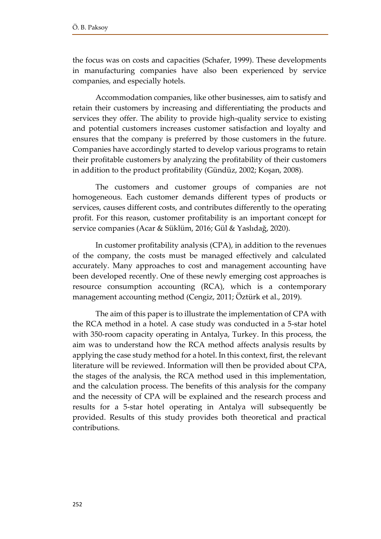the focus was on costs and capacities (Schafer, 1999). These developments in manufacturing companies have also been experienced by service companies, and especially hotels.

Accommodation companies, like other businesses, aim to satisfy and retain their customers by increasing and differentiating the products and services they offer. The ability to provide high-quality service to existing and potential customers increases customer satisfaction and loyalty and ensures that the company is preferred by those customers in the future. Companies have accordingly started to develop various programs to retain their profitable customers by analyzing the profitability of their customers in addition to the product profitability (Gündüz, 2002; Koşan, 2008).

The customers and customer groups of companies are not homogeneous. Each customer demands different types of products or services, causes different costs, and contributes differently to the operating profit. For this reason, customer profitability is an important concept for service companies (Acar & Süklüm, 2016; Gül & Yaslıdağ, 2020).

In customer profitability analysis (CPA), in addition to the revenues of the company, the costs must be managed effectively and calculated accurately. Many approaches to cost and management accounting have been developed recently. One of these newly emerging cost approaches is resource consumption accounting (RCA), which is a contemporary management accounting method (Cengiz, 2011; Öztürk et al., 2019).

The aim of this paper is to illustrate the implementation of CPA with the RCA method in a hotel. A case study was conducted in a 5-star hotel with 350-room capacity operating in Antalya, Turkey. In this process, the aim was to understand how the RCA method affects analysis results by applying the case study method for a hotel. In this context, first, the relevant literature will be reviewed. Information will then be provided about CPA, the stages of the analysis, the RCA method used in this implementation, and the calculation process. The benefits of this analysis for the company and the necessity of CPA will be explained and the research process and results for a 5-star hotel operating in Antalya will subsequently be provided. Results of this study provides both theoretical and practical contributions.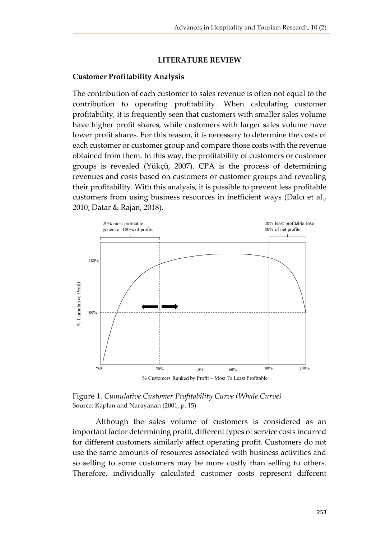#### **LITERATURE REVIEW**

#### **Customer Profitability Analysis**

The contribution of each customer to sales revenue is often not equal to the contribution to operating profitability. When calculating customer profitability, it is frequently seen that customers with smaller sales volume have higher profit shares, while customers with larger sales volume have lower profit shares. For this reason, it is necessary to determine the costs of each customer or customer group and compare those costs with the revenue obtained from them. In this way, the profitability of customers or customer groups is revealed (Yükçü, 2007). CPA is the process of determining revenues and costs based on customers or customer groups and revealing their profitability. With this analysis, it is possible to prevent less profitable customers from using business resources in inefficient ways (Dalcı et al., 2010; Datar & Rajan, 2018).



Figure 1. *Cumulative Customer Profitability Curve (Whale Curve)* Source: Kaplan and Narayanan (2001, p. 15)

Although the sales volume of customers is considered as an important factor determining profit, different types of service costs incurred for different customers similarly affect operating profit. Customers do not use the same amounts of resources associated with business activities and so selling to some customers may be more costly than selling to others. Therefore, individually calculated customer costs represent different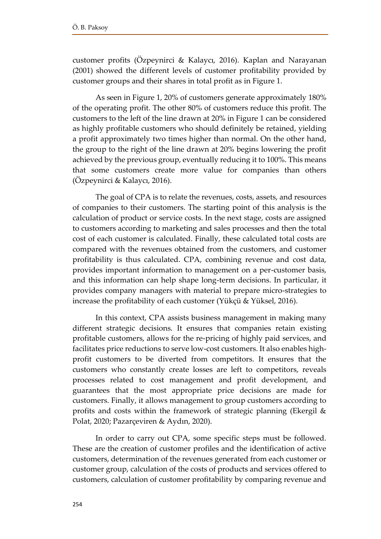customer profits (Özpeynirci & Kalaycı, 2016). Kaplan and Narayanan (2001) showed the different levels of customer profitability provided by customer groups and their shares in total profit as in Figure 1.

As seen in Figure 1, 20% of customers generate approximately 180% of the operating profit. The other 80% of customers reduce this profit. The customers to the left of the line drawn at 20% in Figure 1 can be considered as highly profitable customers who should definitely be retained, yielding a profit approximately two times higher than normal. On the other hand, the group to the right of the line drawn at 20% begins lowering the profit achieved by the previous group, eventually reducing it to 100%. This means that some customers create more value for companies than others (Özpeynirci & Kalaycı, 2016).

The goal of CPA is to relate the revenues, costs, assets, and resources of companies to their customers. The starting point of this analysis is the calculation of product or service costs. In the next stage, costs are assigned to customers according to marketing and sales processes and then the total cost of each customer is calculated. Finally, these calculated total costs are compared with the revenues obtained from the customers, and customer profitability is thus calculated. CPA, combining revenue and cost data, provides important information to management on a per-customer basis, and this information can help shape long-term decisions. In particular, it provides company managers with material to prepare micro-strategies to increase the profitability of each customer (Yükçü & Yüksel, 2016).

In this context, CPA assists business management in making many different strategic decisions. It ensures that companies retain existing profitable customers, allows for the re-pricing of highly paid services, and facilitates price reductions to serve low-cost customers. It also enables highprofit customers to be diverted from competitors. It ensures that the customers who constantly create losses are left to competitors, reveals processes related to cost management and profit development, and guarantees that the most appropriate price decisions are made for customers. Finally, it allows management to group customers according to profits and costs within the framework of strategic planning (Ekergil & Polat, 2020; Pazarçeviren & Aydın, 2020).

In order to carry out CPA, some specific steps must be followed. These are the creation of customer profiles and the identification of active customers, determination of the revenues generated from each customer or customer group, calculation of the costs of products and services offered to customers, calculation of customer profitability by comparing revenue and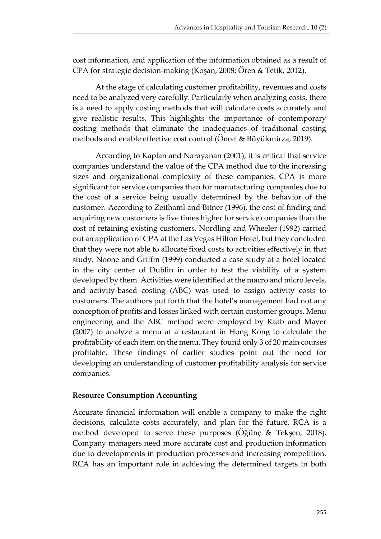cost information, and application of the information obtained as a result of CPA for strategic decision-making (Koşan, 2008; Ören & Tetik, 2012).

At the stage of calculating customer profitability, revenues and costs need to be analyzed very carefully. Particularly when analyzing costs, there is a need to apply costing methods that will calculate costs accurately and give realistic results. This highlights the importance of contemporary costing methods that eliminate the inadequacies of traditional costing methods and enable effective cost control (Öncel & Büyükmirza, 2019).

According to Kaplan and Narayanan (2001), it is critical that service companies understand the value of the CPA method due to the increasing sizes and organizational complexity of these companies. CPA is more significant for service companies than for manufacturing companies due to the cost of a service being usually determined by the behavior of the customer. According to Zeithaml and Bitner (1996), the cost of finding and acquiring new customers is five times higher for service companies than the cost of retaining existing customers. Nordling and Wheeler (1992) carried out an application of CPA at the Las Vegas Hilton Hotel, but they concluded that they were not able to allocate fixed costs to activities effectively in that study. Noone and Griffin (1999) conducted a case study at a hotel located in the city center of Dublin in order to test the viability of a system developed by them. Activities were identified at the macro and micro levels, and activity-based costing (ABC) was used to assign activity costs to customers. The authors put forth that the hotel's management had not any conception of profits and losses linked with certain customer groups. Menu engineering and the ABC method were employed by Raab and Mayer (2007) to analyze a menu at a restaurant in Hong Kong to calculate the profitability of each item on the menu. They found only 3 of 20 main courses profitable. These findings of earlier studies point out the need for developing an understanding of customer profitability analysis for service companies.

#### **Resource Consumption Accounting**

Accurate financial information will enable a company to make the right decisions, calculate costs accurately, and plan for the future. RCA is a method developed to serve these purposes (Öğünç & Tekşen, 2018). Company managers need more accurate cost and production information due to developments in production processes and increasing competition. RCA has an important role in achieving the determined targets in both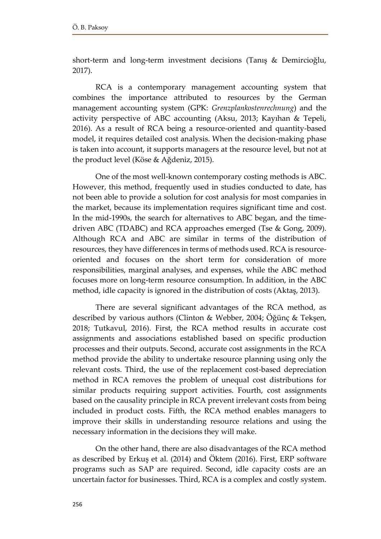short-term and long-term investment decisions (Tanış & Demircioğlu, 2017).

RCA is a contemporary management accounting system that combines the importance attributed to resources by the German management accounting system (GPK: *Grenzplankostenrechnung*) and the activity perspective of ABC accounting (Aksu, 2013; Kayıhan & Tepeli, 2016). As a result of RCA being a resource-oriented and quantity-based model, it requires detailed cost analysis. When the decision-making phase is taken into account, it supports managers at the resource level, but not at the product level (Köse & Ağdeniz, 2015).

One of the most well-known contemporary costing methods is ABC. However, this method, frequently used in studies conducted to date, has not been able to provide a solution for cost analysis for most companies in the market, because its implementation requires significant time and cost. In the mid-1990s, the search for alternatives to ABC began, and the timedriven ABC (TDABC) and RCA approaches emerged (Tse & Gong, 2009). Although RCA and ABC are similar in terms of the distribution of resources, they have differences in terms of methods used. RCA is resourceoriented and focuses on the short term for consideration of more responsibilities, marginal analyses, and expenses, while the ABC method focuses more on long-term resource consumption. In addition, in the ABC method, idle capacity is ignored in the distribution of costs (Aktaş, 2013).

There are several significant advantages of the RCA method, as described by various authors (Clinton & Webber, 2004; Öğünç & Tekşen, 2018; Tutkavul, 2016). First, the RCA method results in accurate cost assignments and associations established based on specific production processes and their outputs. Second, accurate cost assignments in the RCA method provide the ability to undertake resource planning using only the relevant costs. Third, the use of the replacement cost-based depreciation method in RCA removes the problem of unequal cost distributions for similar products requiring support activities. Fourth, cost assignments based on the causality principle in RCA prevent irrelevant costs from being included in product costs. Fifth, the RCA method enables managers to improve their skills in understanding resource relations and using the necessary information in the decisions they will make.

On the other hand, there are also disadvantages of the RCA method as described by Erkuş et al. (2014) and Öktem (2016). First, ERP software programs such as SAP are required. Second, idle capacity costs are an uncertain factor for businesses. Third, RCA is a complex and costly system.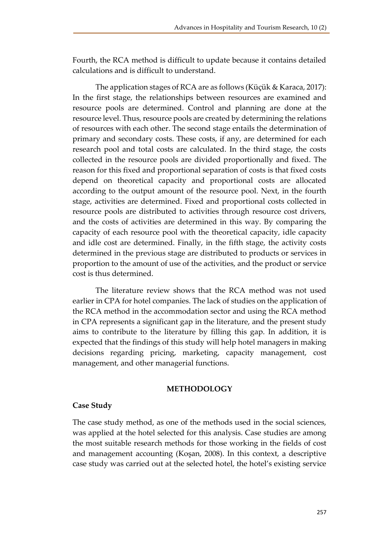Fourth, the RCA method is difficult to update because it contains detailed calculations and is difficult to understand.

The application stages of RCA are as follows (Küçük & Karaca, 2017): In the first stage, the relationships between resources are examined and resource pools are determined. Control and planning are done at the resource level. Thus, resource pools are created by determining the relations of resources with each other. The second stage entails the determination of primary and secondary costs. These costs, if any, are determined for each research pool and total costs are calculated. In the third stage, the costs collected in the resource pools are divided proportionally and fixed. The reason for this fixed and proportional separation of costs is that fixed costs depend on theoretical capacity and proportional costs are allocated according to the output amount of the resource pool. Next, in the fourth stage, activities are determined. Fixed and proportional costs collected in resource pools are distributed to activities through resource cost drivers, and the costs of activities are determined in this way. By comparing the capacity of each resource pool with the theoretical capacity, idle capacity and idle cost are determined. Finally, in the fifth stage, the activity costs determined in the previous stage are distributed to products or services in proportion to the amount of use of the activities, and the product or service cost is thus determined.

The literature review shows that the RCA method was not used earlier in CPA for hotel companies. The lack of studies on the application of the RCA method in the accommodation sector and using the RCA method in CPA represents a significant gap in the literature, and the present study aims to contribute to the literature by filling this gap. In addition, it is expected that the findings of this study will help hotel managers in making decisions regarding pricing, marketing, capacity management, cost management, and other managerial functions.

### **METHODOLOGY**

#### **Case Study**

The case study method, as one of the methods used in the social sciences, was applied at the hotel selected for this analysis. Case studies are among the most suitable research methods for those working in the fields of cost and management accounting (Koşan, 2008). In this context, a descriptive case study was carried out at the selected hotel, the hotel's existing service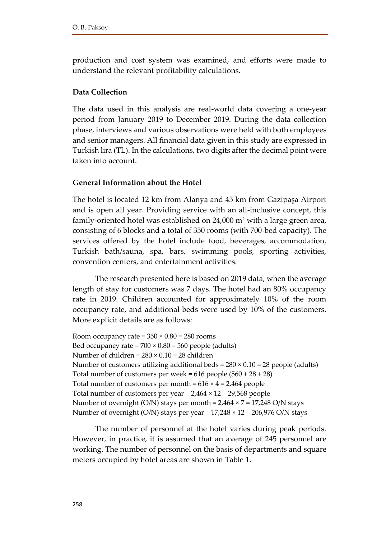production and cost system was examined, and efforts were made to understand the relevant profitability calculations.

# **Data Collection**

The data used in this analysis are real-world data covering a one-year period from January 2019 to December 2019. During the data collection phase, interviews and various observations were held with both employees and senior managers. All financial data given in this study are expressed in Turkish lira (TL). In the calculations, two digits after the decimal point were taken into account.

## **General Information about the Hotel**

The hotel is located 12 km from Alanya and 45 km from Gazipaşa Airport and is open all year. Providing service with an all-inclusive concept, this family-oriented hotel was established on 24,000 m<sup>2</sup> with a large green area, consisting of 6 blocks and a total of 350 rooms (with 700-bed capacity). The services offered by the hotel include food, beverages, accommodation, Turkish bath/sauna, spa, bars, swimming pools, sporting activities, convention centers, and entertainment activities.

The research presented here is based on 2019 data, when the average length of stay for customers was 7 days. The hotel had an 80% occupancy rate in 2019. Children accounted for approximately 10% of the room occupancy rate, and additional beds were used by 10% of the customers. More explicit details are as follows:

Room occupancy rate =  $350 \times 0.80 = 280$  rooms Bed occupancy rate =  $700 \times 0.80 = 560$  people (adults) Number of children =  $280 \times 0.10 = 28$  children Number of customers utilizing additional beds =  $280 \times 0.10 = 28$  people (adults) Total number of customers per week =  $616$  people  $(560 + 28 + 28)$ Total number of customers per month =  $616 \times 4 = 2,464$  people Total number of customers per year =  $2,464 \times 12 = 29,568$  people Number of overnight (O/N) stays per month = 2,464 × 7 = 17,248 O/N stays Number of overnight (O/N) stays per year = 17,248 × 12 = 206,976 O/N stays

The number of personnel at the hotel varies during peak periods. However, in practice, it is assumed that an average of 245 personnel are working. The number of personnel on the basis of departments and square meters occupied by hotel areas are shown in Table 1.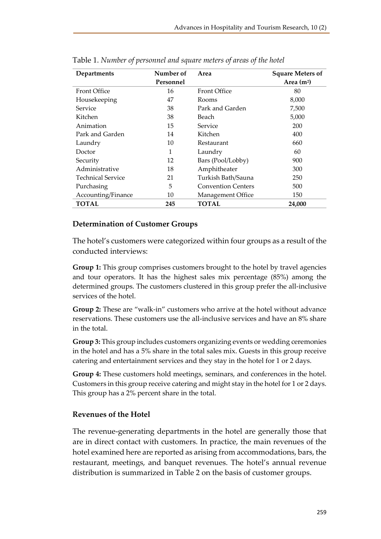| Departments         | Number of | Area                      | <b>Square Meters of</b> |
|---------------------|-----------|---------------------------|-------------------------|
|                     | Personnel |                           | Area $(m2)$             |
| <b>Front Office</b> | 16        | <b>Front Office</b>       | 80                      |
| Housekeeping        | 47        | Rooms                     | 8,000                   |
| Service             | 38        | Park and Garden           | 7,500                   |
| Kitchen             | 38        | Beach                     | 5,000                   |
| Animation           | 15        | Service                   | 200                     |
| Park and Garden     | 14        | Kitchen                   | 400                     |
| Laundry             | 10        | Restaurant                | 660                     |
| Doctor              | 1         | Laundry                   | 60                      |
| Security            | 12        | Bars (Pool/Lobby)         | 900                     |
| Administrative      | 18        | Amphitheater              | 300                     |
| Technical Service   | 21        | Turkish Bath/Sauna        | 250                     |
| Purchasing          | 5         | <b>Convention Centers</b> | 500                     |
| Accounting/Finance  | 10        | Management Office         | 150                     |
| <b>TOTAL</b>        | 245       | <b>TOTAL</b>              | 24,000                  |

Table 1. *Number of personnel and square meters of areas of the hotel*

## **Determination of Customer Groups**

The hotel's customers were categorized within four groups as a result of the conducted interviews:

**Group 1:** This group comprises customers brought to the hotel by travel agencies and tour operators. It has the highest sales mix percentage (85%) among the determined groups. The customers clustered in this group prefer the all-inclusive services of the hotel.

**Group 2:** These are "walk-in" customers who arrive at the hotel without advance reservations. These customers use the all-inclusive services and have an 8% share in the total.

**Group 3:** This group includes customers organizing events or wedding ceremonies in the hotel and has a 5% share in the total sales mix. Guests in this group receive catering and entertainment services and they stay in the hotel for 1 or 2 days.

**Group 4:** These customers hold meetings, seminars, and conferences in the hotel. Customers in this group receive catering and might stay in the hotel for 1 or 2 days. This group has a 2% percent share in the total.

## **Revenues of the Hotel**

The revenue-generating departments in the hotel are generally those that are in direct contact with customers. In practice, the main revenues of the hotel examined here are reported as arising from accommodations, bars, the restaurant, meetings, and banquet revenues. The hotel's annual revenue distribution is summarized in Table 2 on the basis of customer groups.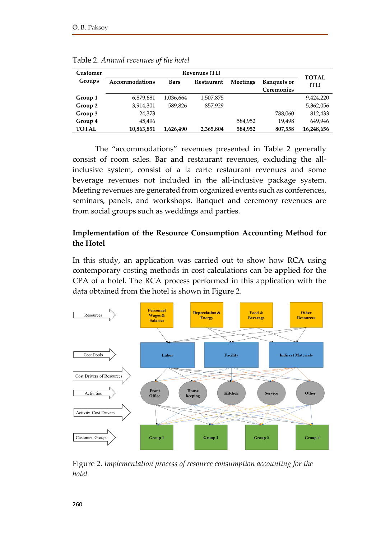| Customer     | <b>Revenues (TL)</b> |             |            |                 |                                         |                      |  |
|--------------|----------------------|-------------|------------|-----------------|-----------------------------------------|----------------------|--|
| Groups       | Accommodations       | <b>Bars</b> | Restaurant | <b>Meetings</b> | <b>Banquets or</b><br><b>Ceremonies</b> | <b>TOTAL</b><br>(TL) |  |
| Group 1      | 6,879,681            | 1,036,664   | 1,507,875  |                 |                                         | 9,424,220            |  |
| Group 2      | 3,914,301            | 589,826     | 857.929    |                 |                                         | 5,362,056            |  |
| Group 3      | 24,373               |             |            |                 | 788,060                                 | 812,433              |  |
| Group 4      | 45.496               |             |            | 584,952         | 19.498                                  | 649,946              |  |
| <b>TOTAL</b> | 10,863,851           | 1,626,490   | 2,365,804  | 584,952         | 807,558                                 | 16,248,656           |  |

Table 2. *Annual revenues of the hotel*

The "accommodations" revenues presented in Table 2 generally consist of room sales. Bar and restaurant revenues, excluding the allinclusive system, consist of a la carte restaurant revenues and some beverage revenues not included in the all-inclusive package system. Meeting revenues are generated from organized events such as conferences, seminars, panels, and workshops. Banquet and ceremony revenues are from social groups such as weddings and parties.

# **Implementation of the Resource Consumption Accounting Method for the Hotel**

In this study, an application was carried out to show how RCA using contemporary costing methods in cost calculations can be applied for the CPA of a hotel. The RCA process performed in this application with the data obtained from the hotel is shown in Figure 2.



Figure 2. *Implementation process of resource consumption accounting for the hotel*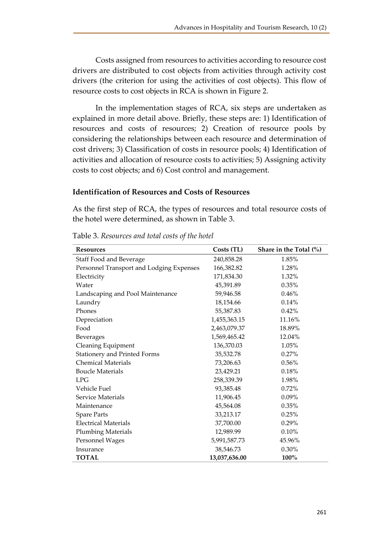Costs assigned from resources to activities according to resource cost drivers are distributed to cost objects from activities through activity cost drivers (the criterion for using the activities of cost objects). This flow of resource costs to cost objects in RCA is shown in Figure 2.

In the implementation stages of RCA, six steps are undertaken as explained in more detail above. Briefly, these steps are: 1) Identification of resources and costs of resources; 2) Creation of resource pools by considering the relationships between each resource and determination of cost drivers; 3) Classification of costs in resource pools; 4) Identification of activities and allocation of resource costs to activities; 5) Assigning activity costs to cost objects; and 6) Cost control and management.

### **Identification of Resources and Costs of Resources**

As the first step of RCA, the types of resources and total resource costs of the hotel were determined, as shown in Table 3.

| <b>Resources</b>                         | Costs (TL)    | Share in the Total $(\% )$ |
|------------------------------------------|---------------|----------------------------|
| Staff Food and Beverage                  | 240,858.28    | 1.85%                      |
| Personnel Transport and Lodging Expenses | 166,382.82    | 1.28%                      |
| Electricity                              | 171,834.30    | 1.32%                      |
| Water                                    | 45,391.89     | 0.35%                      |
| Landscaping and Pool Maintenance         | 59,946.58     | 0.46%                      |
| Laundry                                  | 18,154.66     | 0.14%                      |
| Phones                                   | 55,387.83     | 0.42%                      |
| Depreciation                             | 1,455,363.15  | 11.16%                     |
| Food                                     | 2,463,079.37  | 18.89%                     |
| <b>Beverages</b>                         | 1,569,465.42  | 12.04%                     |
| <b>Cleaning Equipment</b>                | 136,370.03    | 1.05%                      |
| Stationery and Printed Forms             | 35,532.78     | 0.27%                      |
| <b>Chemical Materials</b>                | 73,206.63     | $0.56\%$                   |
| <b>Boucle Materials</b>                  | 23,429.21     | 0.18%                      |
| <b>LPG</b>                               | 258,339.39    | 1.98%                      |
| Vehicle Fuel                             | 93,385.48     | 0.72%                      |
| Service Materials                        | 11,906.45     | $0.09\%$                   |
| Maintenance                              | 45,564.08     | 0.35%                      |
| <b>Spare Parts</b>                       | 33,213.17     | 0.25%                      |
| <b>Electrical Materials</b>              | 37,700.00     | 0.29%                      |
| <b>Plumbing Materials</b>                | 12,989.99     | 0.10%                      |
| Personnel Wages                          | 5,991,587.73  | 45.96%                     |
| Insurance                                | 38,546.73     | 0.30%                      |
| <b>TOTAL</b>                             | 13,037,636.00 | 100%                       |

Table 3. *Resources and total costs of the hotel*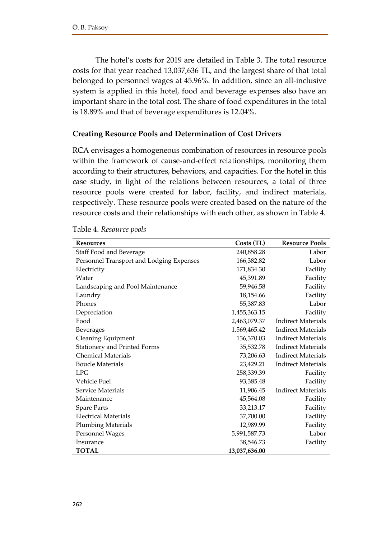The hotel's costs for 2019 are detailed in Table 3. The total resource costs for that year reached 13,037,636 TL, and the largest share of that total belonged to personnel wages at 45.96%. In addition, since an all-inclusive system is applied in this hotel, food and beverage expenses also have an important share in the total cost. The share of food expenditures in the total is 18.89% and that of beverage expenditures is 12.04%.

### **Creating Resource Pools and Determination of Cost Drivers**

RCA envisages a homogeneous combination of resources in resource pools within the framework of cause-and-effect relationships, monitoring them according to their structures, behaviors, and capacities. For the hotel in this case study, in light of the relations between resources, a total of three resource pools were created for labor, facility, and indirect materials, respectively. These resource pools were created based on the nature of the resource costs and their relationships with each other, as shown in Table 4.

| <b>Resources</b>                         | Costs (TL)    | <b>Resource Pools</b>     |
|------------------------------------------|---------------|---------------------------|
| Staff Food and Beverage                  | 240,858.28    | Labor                     |
| Personnel Transport and Lodging Expenses | 166,382.82    | Labor                     |
| Electricity                              | 171,834.30    | Facility                  |
| Water                                    | 45,391.89     | Facility                  |
| Landscaping and Pool Maintenance         | 59,946.58     | Facility                  |
| Laundry                                  | 18,154.66     | Facility                  |
| Phones                                   | 55,387.83     | Labor                     |
| Depreciation                             | 1,455,363.15  | Facility                  |
| Food                                     | 2,463,079.37  | <b>Indirect Materials</b> |
| <b>Beverages</b>                         | 1,569,465.42  | <b>Indirect Materials</b> |
| <b>Cleaning Equipment</b>                | 136,370.03    | <b>Indirect Materials</b> |
| Stationery and Printed Forms             | 35,532.78     | <b>Indirect Materials</b> |
| <b>Chemical Materials</b>                | 73,206.63     | <b>Indirect Materials</b> |
| <b>Boucle Materials</b>                  | 23,429.21     | <b>Indirect Materials</b> |
| LPG                                      | 258,339.39    | Facility                  |
| Vehicle Fuel                             | 93,385.48     | Facility                  |
| Service Materials                        | 11,906.45     | <b>Indirect Materials</b> |
| Maintenance                              | 45,564.08     | Facility                  |
| <b>Spare Parts</b>                       | 33,213.17     | Facility                  |
| <b>Electrical Materials</b>              | 37,700.00     | Facility                  |
| <b>Plumbing Materials</b>                | 12,989.99     | Facility                  |
| Personnel Wages                          | 5,991,587.73  | Labor                     |
| Insurance                                | 38,546.73     | Facility                  |
| <b>TOTAL</b>                             | 13,037,636.00 |                           |

| Table 4. Resource pools |  |
|-------------------------|--|
|                         |  |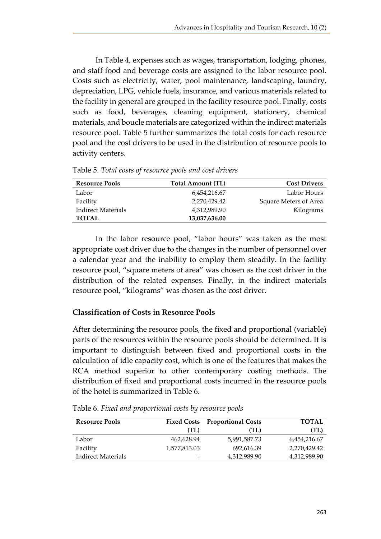In Table 4, expenses such as wages, transportation, lodging, phones, and staff food and beverage costs are assigned to the labor resource pool. Costs such as electricity, water, pool maintenance, landscaping, laundry, depreciation, LPG, vehicle fuels, insurance, and various materials related to the facility in general are grouped in the facility resource pool. Finally, costs such as food, beverages, cleaning equipment, stationery, chemical materials, and boucle materials are categorized within the indirect materials resource pool. Table 5 further summarizes the total costs for each resource pool and the cost drivers to be used in the distribution of resource pools to activity centers.

| <b>Resource Pools</b> | <b>Total Amount (TL)</b> | <b>Cost Drivers</b>   |
|-----------------------|--------------------------|-----------------------|
| Labor                 | 6,454,216.67             | Labor Hours           |
| Facility              | 2,270,429.42             | Square Meters of Area |
| Indirect Materials    | 4,312,989.90             | Kilograms             |
| <b>TOTAL</b>          | 13,037,636.00            |                       |

Table 5. *Total costs of resource pools and cost drivers*

In the labor resource pool, "labor hours" was taken as the most appropriate cost driver due to the changes in the number of personnel over a calendar year and the inability to employ them steadily. In the facility resource pool, "square meters of area" was chosen as the cost driver in the distribution of the related expenses. Finally, in the indirect materials resource pool, "kilograms" was chosen as the cost driver.

## **Classification of Costs in Resource Pools**

After determining the resource pools, the fixed and proportional (variable) parts of the resources within the resource pools should be determined. It is important to distinguish between fixed and proportional costs in the calculation of idle capacity cost, which is one of the features that makes the RCA method superior to other contemporary costing methods. The distribution of fixed and proportional costs incurred in the resource pools of the hotel is summarized in Table 6.

| <b>Resource Pools</b> |                          | <b>Fixed Costs</b> Proportional Costs | <b>TOTAL</b> |
|-----------------------|--------------------------|---------------------------------------|--------------|
|                       | (TL)                     | (TL)                                  | (TL)         |
| Labor                 | 462.628.94               | 5.991.587.73                          | 6,454,216.67 |
| Facility              | 1,577,813.03             | 692.616.39                            | 2.270.429.42 |
| Indirect Materials    | $\overline{\phantom{0}}$ | 4,312,989.90                          | 4,312,989.90 |

Table 6. *Fixed and proportional costs by resource pools*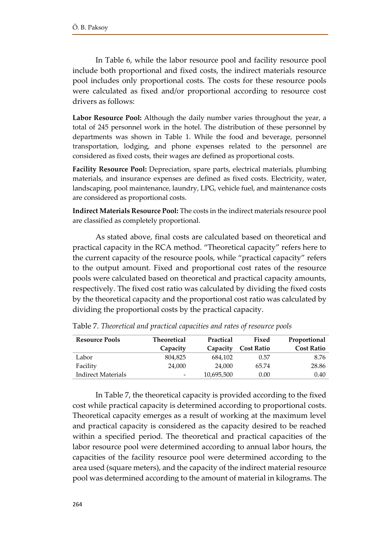In Table 6, while the labor resource pool and facility resource pool include both proportional and fixed costs, the indirect materials resource pool includes only proportional costs. The costs for these resource pools were calculated as fixed and/or proportional according to resource cost drivers as follows:

**Labor Resource Pool:** Although the daily number varies throughout the year, a total of 245 personnel work in the hotel. The distribution of these personnel by departments was shown in Table 1. While the food and beverage, personnel transportation, lodging, and phone expenses related to the personnel are considered as fixed costs, their wages are defined as proportional costs.

**Facility Resource Pool:** Depreciation, spare parts, electrical materials, plumbing materials, and insurance expenses are defined as fixed costs. Electricity, water, landscaping, pool maintenance, laundry, LPG, vehicle fuel, and maintenance costs are considered as proportional costs.

**Indirect Materials Resource Pool:** The costs in the indirect materials resource pool are classified as completely proportional.

As stated above, final costs are calculated based on theoretical and practical capacity in the RCA method. "Theoretical capacity" refers here to the current capacity of the resource pools, while "practical capacity" refers to the output amount. Fixed and proportional cost rates of the resource pools were calculated based on theoretical and practical capacity amounts, respectively. The fixed cost ratio was calculated by dividing the fixed costs by the theoretical capacity and the proportional cost ratio was calculated by dividing the proportional costs by the practical capacity.

| <b>Resource Pools</b>     | Theoretical<br>Practical |            | Fixed             | Proportional      |
|---------------------------|--------------------------|------------|-------------------|-------------------|
|                           | Capacity                 | Capacity   | <b>Cost Ratio</b> | <b>Cost Ratio</b> |
| Labor                     | 804,825                  | 684,102    | 0.57              | 8.76              |
| Facility                  | 24,000                   | 24,000     | 65.74             | 28.86             |
| <b>Indirect Materials</b> | -                        | 10,695,500 | 0.00              | 0.40              |

Table 7. *Theoretical and practical capacities and rates of resource pools*

In Table 7, the theoretical capacity is provided according to the fixed cost while practical capacity is determined according to proportional costs. Theoretical capacity emerges as a result of working at the maximum level and practical capacity is considered as the capacity desired to be reached within a specified period. The theoretical and practical capacities of the labor resource pool were determined according to annual labor hours, the capacities of the facility resource pool were determined according to the area used (square meters), and the capacity of the indirect material resource pool was determined according to the amount of material in kilograms. The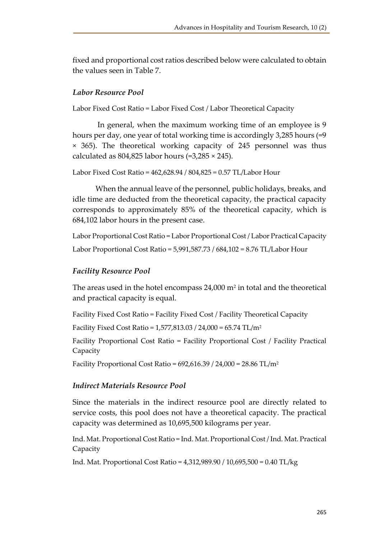fixed and proportional cost ratios described below were calculated to obtain the values seen in Table 7.

### *Labor Resource Pool*

Labor Fixed Cost Ratio = Labor Fixed Cost / Labor Theoretical Capacity

In general, when the maximum working time of an employee is 9 hours per day, one year of total working time is accordingly 3,285 hours (=9 × 365). The theoretical working capacity of 245 personnel was thus calculated as  $804,825$  labor hours (=3,285  $\times$  245).

```
Labor Fixed Cost Ratio = 462,628.94 / 804,825 = 0.57 TL/Labor Hour
```
When the annual leave of the personnel, public holidays, breaks, and idle time are deducted from the theoretical capacity, the practical capacity corresponds to approximately 85% of the theoretical capacity, which is 684,102 labor hours in the present case.

```
Labor Proportional Cost Ratio = Labor Proportional Cost / Labor Practical Capacity
Labor Proportional Cost Ratio = 5,991,587.73 / 684,102 = 8.76 TL/Labor Hour
```
## *Facility Resource Pool*

The areas used in the hotel encompass 24,000  $m^2$  in total and the theoretical and practical capacity is equal.

Facility Fixed Cost Ratio = Facility Fixed Cost / Facility Theoretical Capacity

Facility Fixed Cost Ratio =  $1,577,813.03 / 24,000 = 65.74$  TL/m<sup>2</sup>

Facility Proportional Cost Ratio = Facility Proportional Cost / Facility Practical Capacity

Facility Proportional Cost Ratio =  $692,616.39 / 24,000 = 28.86$  TL/m<sup>2</sup>

### *Indirect Materials Resource Pool*

Since the materials in the indirect resource pool are directly related to service costs, this pool does not have a theoretical capacity. The practical capacity was determined as 10,695,500 kilograms per year.

Ind. Mat. Proportional Cost Ratio = Ind. Mat. Proportional Cost / Ind. Mat. Practical Capacity

Ind. Mat. Proportional Cost Ratio = 4,312,989.90 / 10,695,500 = 0.40 TL/kg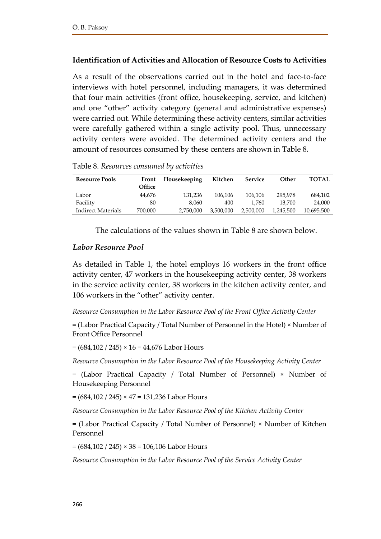# **Identification of Activities and Allocation of Resource Costs to Activities**

As a result of the observations carried out in the hotel and face-to-face interviews with hotel personnel, including managers, it was determined that four main activities (front office, housekeeping, service, and kitchen) and one "other" activity category (general and administrative expenses) were carried out. While determining these activity centers, similar activities were carefully gathered within a single activity pool. Thus, unnecessary activity centers were avoided. The determined activity centers and the amount of resources consumed by these centers are shown in Table 8.

**Resource Pools Front Office Housekeeping Kitchen Service Other TOTAL** Labor 44,676 131,236 106,106 106,106 295,978 684,102 Facility 80 8,060 400 1,760 13,700 24,000 Indirect Materials 700,000 2,750,000 3,500,000 2,500,000 1,245,500 10,695,500

Table 8. *Resources consumed by activities*

The calculations of the values shown in Table 8 are shown below.

### *Labor Resource Pool*

As detailed in Table 1, the hotel employs 16 workers in the front office activity center, 47 workers in the housekeeping activity center, 38 workers in the service activity center, 38 workers in the kitchen activity center, and 106 workers in the "other" activity center.

#### *Resource Consumption in the Labor Resource Pool of the Front Office Activity Center*

= (Labor Practical Capacity / Total Number of Personnel in the Hotel) × Number of Front Office Personnel

 $=(684,102 / 245) \times 16 = 44,676$  Labor Hours

*Resource Consumption in the Labor Resource Pool of the Housekeeping Activity Center*

= (Labor Practical Capacity / Total Number of Personnel) × Number of Housekeeping Personnel

 $=(684,102 / 245) \times 47 = 131,236$  Labor Hours

*Resource Consumption in the Labor Resource Pool of the Kitchen Activity Center*

= (Labor Practical Capacity / Total Number of Personnel) × Number of Kitchen Personnel

 $=(684,102 / 245) \times 38 = 106,106$  Labor Hours

*Resource Consumption in the Labor Resource Pool of the Service Activity Center*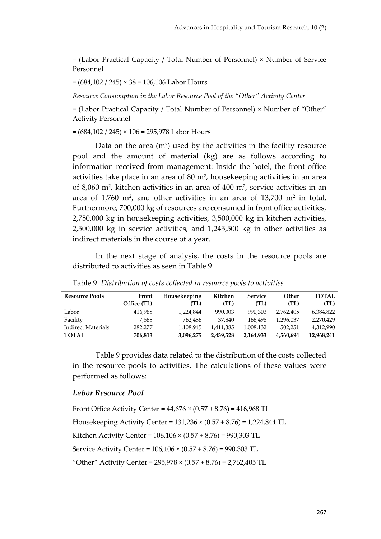= (Labor Practical Capacity / Total Number of Personnel) × Number of Service Personnel

 $=(684,102 / 245) \times 38 = 106,106$  Labor Hours

*Resource Consumption in the Labor Resource Pool of the "Other" Activity Center* 

= (Labor Practical Capacity / Total Number of Personnel) × Number of "Other" Activity Personnel

 $=(684,102 / 245) \times 106 = 295,978$  Labor Hours

Data on the area  $(m^2)$  used by the activities in the facility resource pool and the amount of material (kg) are as follows according to information received from management: Inside the hotel, the front office activities take place in an area of 80 m<sup>2</sup>, housekeeping activities in an area of 8,060 m<sup>2</sup> , kitchen activities in an area of 400 m<sup>2</sup> , service activities in an area of 1,760 m<sup>2</sup>, and other activities in an area of 13,700 m<sup>2</sup> in total. Furthermore, 700,000 kg of resources are consumed in front office activities, 2,750,000 kg in housekeeping activities, 3,500,000 kg in kitchen activities, 2,500,000 kg in service activities, and 1,245,500 kg in other activities as indirect materials in the course of a year.

In the next stage of analysis, the costs in the resource pools are distributed to activities as seen in Table 9.

| <b>Resource Pools</b> | Front       | Housekeeping | Kitchen   | <b>Service</b> | Other     | <b>TOTAL</b> |
|-----------------------|-------------|--------------|-----------|----------------|-----------|--------------|
|                       | Office (TL) | (TL)         | (TL)      | (TL)           | (TL)      | (TL)         |
| Labor                 | 416.968     | 1.224.844    | 990,303   | 990.303        | 2.762.405 | 6,384,822    |
| Facility              | 7.568       | 762.486      | 37.840    | 166.498        | 1,296,037 | 2,270,429    |
| Indirect Materials    | 282,277     | 1,108,945    | 1.411.385 | 1,008,132      | 502.251   | 4,312,990    |
| <b>TOTAL</b>          | 706,813     | 3,096,275    | 2.439.528 | 2,164,933      | 4,560,694 | 12,968,241   |

Table 9. *Distribution of costs collected in resource pools to activities*

Table 9 provides data related to the distribution of the costs collected in the resource pools to activities. The calculations of these values were performed as follows:

#### *Labor Resource Pool*

Front Office Activity Center =  $44,676 \times (0.57 + 8.76) = 416,968$  TL Housekeeping Activity Center = 131,236 × (0.57 + 8.76) = 1,224,844 TL Kitchen Activity Center = 106,106 × (0.57 + 8.76) = 990,303 TL Service Activity Center = 106,106 × (0.57 + 8.76) = 990,303 TL "Other" Activity Center =  $295,978 \times (0.57 + 8.76) = 2,762,405$  TL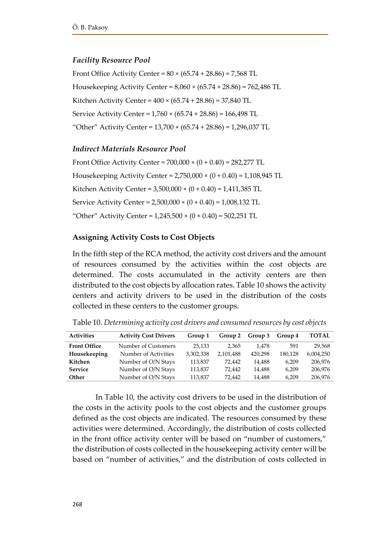### *Facility Resource Pool*

Front Office Activity Center =  $80 \times (65.74 + 28.86) = 7,568$  TL Housekeeping Activity Center = 8,060 × (65.74 + 28.86) = 762,486 TL Kitchen Activity Center =  $400 \times (65.74 + 28.86) = 37,840 \text{ TL}$ Service Activity Center = 1,760 × (65.74 + 28.86) = 166,498 TL "Other" Activity Center =  $13,700 \times (65.74 + 28.86) = 1,296,037$  TL

### *Indirect Materials Resource Pool*

Front Office Activity Center =  $700,000 \times (0 + 0.40) = 282,277$  TL Housekeeping Activity Center = 2,750,000 × (0 + 0.40) = 1,108,945 TL Kitchen Activity Center = 3,500,000 × (0 + 0.40) = 1,411,385 TL Service Activity Center = 2,500,000 × (0 + 0.40) = 1,008,132 TL "Other" Activity Center =  $1,245,500 \times (0 + 0.40) = 502,251 \text{ TL}$ 

### **Assigning Activity Costs to Cost Objects**

In the fifth step of the RCA method, the activity cost drivers and the amount of resources consumed by the activities within the cost objects are determined. The costs accumulated in the activity centers are then distributed to the cost objects by allocation rates. Table 10 shows the activity centers and activity drivers to be used in the distribution of the costs collected in these centers to the customer groups.

| <b>Activities</b>   | <b>Activity Cost Drivers</b> | Group 1   | Group 2   | Group 3 | Group 4 | <b>TOTAL</b> |
|---------------------|------------------------------|-----------|-----------|---------|---------|--------------|
| <b>Front Office</b> | Number of Customers          | 25.133    | 2.365     | 1.478   | 591     | 29.568       |
| Housekeeping        | Number of Activities         | 3.302.338 | 2,101,488 | 420,298 | 180,128 | 6,004,250    |
| Kitchen             | Number of O/N Stays          | 113,837   | 72.442    | 14.488  | 6.209   | 206,976      |
| <b>Service</b>      | Number of O/N Stays          | 113,837   | 72.442    | 14.488  | 6.209   | 206,976      |
| Other               | Number of O/N Stays          | 113,837   | 72.442    | 14.488  | 6.209   | 206,976      |

Table 10. *Determining activity cost drivers and consumed resources by cost objects*

In Table 10, the activity cost drivers to be used in the distribution of the costs in the activity pools to the cost objects and the customer groups defined as the cost objects are indicated. The resources consumed by these activities were determined. Accordingly, the distribution of costs collected in the front office activity center will be based on "number of customers," the distribution of costs collected in the housekeeping activity center will be based on "number of activities," and the distribution of costs collected in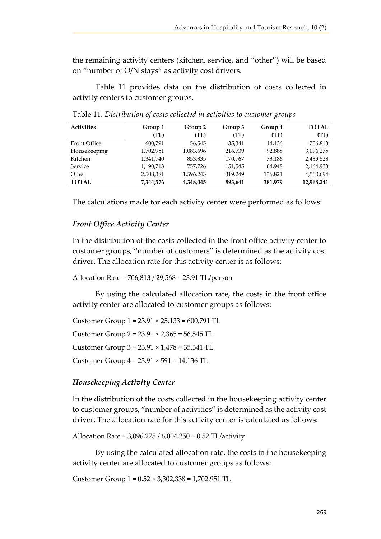the remaining activity centers (kitchen, service, and "other") will be based on "number of O/N stays" as activity cost drivers.

Table 11 provides data on the distribution of costs collected in activity centers to customer groups.

| <b>Activities</b> | Group 1   | Group 2   | Group 3 | Group 4 | <b>TOTAL</b> |
|-------------------|-----------|-----------|---------|---------|--------------|
|                   | (TL)      | (TL)      | (TL)    | (TL)    | (TL)         |
| Front Office      | 600,791   | 56.545    | 35,341  | 14,136  | 706,813      |
| Housekeeping      | 1,702,951 | 1,083,696 | 216,739 | 92,888  | 3,096,275    |
| Kitchen           | 1,341,740 | 853,835   | 170.767 | 73,186  | 2,439,528    |
| Service           | 1,190,713 | 757,726   | 151,545 | 64.948  | 2,164,933    |
| Other             | 2,508,381 | 1,596,243 | 319,249 | 136,821 | 4,560,694    |
| <b>TOTAL</b>      | 7,344,576 | 4,348,045 | 893,641 | 381,979 | 12,968,241   |

Table 11. *Distribution of costs collected in activities to customer groups*

The calculations made for each activity center were performed as follows:

## *Front Office Activity Center*

In the distribution of the costs collected in the front office activity center to customer groups, "number of customers" is determined as the activity cost driver. The allocation rate for this activity center is as follows:

Allocation Rate = 706,813 / 29,568 = 23.91 TL/person

By using the calculated allocation rate, the costs in the front office activity center are allocated to customer groups as follows:

Customer Group  $1 = 23.91 \times 25,133 = 600,791 \text{ TL}$ Customer Group 2 = 23.91 × 2,365 = 56,545 TL Customer Group 3 = 23.91 × 1,478 = 35,341 TL Customer Group 4 = 23.91 × 591 = 14,136 TL

# *Housekeeping Activity Center*

In the distribution of the costs collected in the housekeeping activity center to customer groups, "number of activities" is determined as the activity cost driver. The allocation rate for this activity center is calculated as follows:

Allocation Rate = 3,096,275 / 6,004,250 = 0.52 TL/activity

By using the calculated allocation rate, the costs in the housekeeping activity center are allocated to customer groups as follows:

Customer Group 1 = 0.52 × 3,302,338 = 1,702,951 TL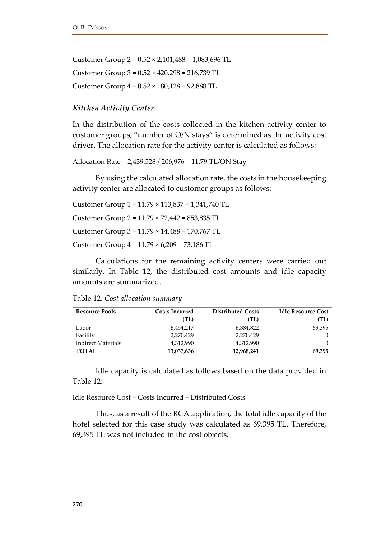Customer Group  $2 = 0.52 \times 2,101,488 = 1,083,696$  TL Customer Group 3 = 0.52 × 420,298 = 216,739 TL Customer Group 4 = 0.52 × 180,128 = 92,888 TL

#### *Kitchen Activity Center*

In the distribution of the costs collected in the kitchen activity center to customer groups, "number of O/N stays" is determined as the activity cost driver. The allocation rate for the activity center is calculated as follows:

Allocation Rate = 2,439,528 / 206,976 = 11.79 TL/ON Stay

By using the calculated allocation rate, the costs in the housekeeping activity center are allocated to customer groups as follows:

Customer Group 1 = 11.79 × 113,837 = 1,341,740 TL Customer Group 2 = 11.79 × 72,442 = 853,835 TL Customer Group 3 = 11.79 × 14,488 = 170,767 TL Customer Group 4 = 11.79 × 6,209 = 73,186 TL

Calculations for the remaining activity centers were carried out similarly. In Table 12, the distributed cost amounts and idle capacity amounts are summarized.

| Table 12. Cost allocation summary |
|-----------------------------------|
|-----------------------------------|

| <b>Resource Pools</b>     | <b>Costs Incurred</b> | <b>Distributed Costs</b> | <b>Idle Resource Cost</b> |
|---------------------------|-----------------------|--------------------------|---------------------------|
|                           | (TL)                  | (TL)                     | (TL)                      |
| Labor                     | 6,454,217             | 6,384,822                | 69,395                    |
| Facility                  | 2,270,429             | 2,270,429                | $\left($                  |
| <b>Indirect Materials</b> | 4,312,990             | 4,312,990                | 0                         |
| <b>TOTAL</b>              | 13,037,636            | 12,968,241               | 69,395                    |

Idle capacity is calculated as follows based on the data provided in Table 12:

 $Id$ le Resource Cost = Costs Incurred – Distributed Costs

Thus, as a result of the RCA application, the total idle capacity of the hotel selected for this case study was calculated as 69,395 TL. Therefore, 69,395 TL was not included in the cost objects.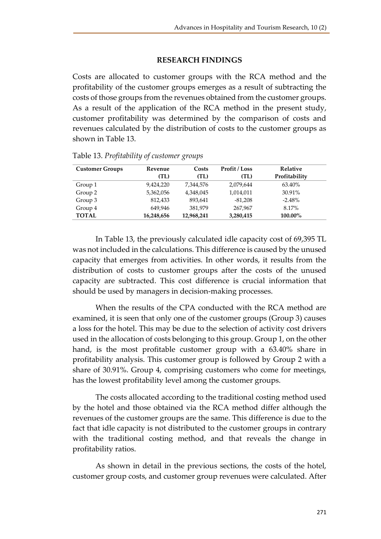### **RESEARCH FINDINGS**

Costs are allocated to customer groups with the RCA method and the profitability of the customer groups emerges as a result of subtracting the costs of those groups from the revenues obtained from the customer groups. As a result of the application of the RCA method in the present study, customer profitability was determined by the comparison of costs and revenues calculated by the distribution of costs to the customer groups as shown in Table 13.

| <b>Customer Groups</b> | Revenue    | Costs      | <b>Profit / Loss</b> | <b>Relative</b> |
|------------------------|------------|------------|----------------------|-----------------|
|                        | (TL)       | (TL)       | (TL)                 | Profitability   |
| Group 1                | 9.424.220  | 7,344,576  | 2,079,644            | 63.40%          |
| Group 2                | 5,362,056  | 4,348,045  | 1,014,011            | 30.91%          |
| Group 3                | 812.433    | 893.641    | $-81,208$            | $-2.48%$        |
| Group 4                | 649.946    | 381,979    | 267,967              | 8.17%           |
| <b>TOTAL</b>           | 16,248,656 | 12,968,241 | 3,280,415            | 100.00%         |

Table 13. *Profitability of customer groups*

In Table 13, the previously calculated idle capacity cost of 69,395 TL was not included in the calculations. This difference is caused by the unused capacity that emerges from activities. In other words, it results from the distribution of costs to customer groups after the costs of the unused capacity are subtracted. This cost difference is crucial information that should be used by managers in decision-making processes.

When the results of the CPA conducted with the RCA method are examined, it is seen that only one of the customer groups (Group 3) causes a loss for the hotel. This may be due to the selection of activity cost drivers used in the allocation of costs belonging to this group. Group 1, on the other hand, is the most profitable customer group with a 63.40% share in profitability analysis. This customer group is followed by Group 2 with a share of 30.91%. Group 4, comprising customers who come for meetings, has the lowest profitability level among the customer groups.

The costs allocated according to the traditional costing method used by the hotel and those obtained via the RCA method differ although the revenues of the customer groups are the same. This difference is due to the fact that idle capacity is not distributed to the customer groups in contrary with the traditional costing method, and that reveals the change in profitability ratios.

As shown in detail in the previous sections, the costs of the hotel, customer group costs, and customer group revenues were calculated. After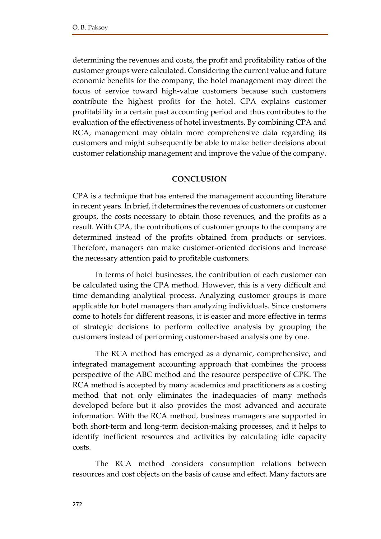determining the revenues and costs, the profit and profitability ratios of the customer groups were calculated. Considering the current value and future economic benefits for the company, the hotel management may direct the focus of service toward high-value customers because such customers contribute the highest profits for the hotel. CPA explains customer profitability in a certain past accounting period and thus contributes to the evaluation of the effectiveness of hotel investments. By combining CPA and RCA, management may obtain more comprehensive data regarding its customers and might subsequently be able to make better decisions about customer relationship management and improve the value of the company.

#### **CONCLUSION**

CPA is a technique that has entered the management accounting literature in recent years. In brief, it determines the revenues of customers or customer groups, the costs necessary to obtain those revenues, and the profits as a result. With CPA, the contributions of customer groups to the company are determined instead of the profits obtained from products or services. Therefore, managers can make customer-oriented decisions and increase the necessary attention paid to profitable customers.

In terms of hotel businesses, the contribution of each customer can be calculated using the CPA method. However, this is a very difficult and time demanding analytical process. Analyzing customer groups is more applicable for hotel managers than analyzing individuals. Since customers come to hotels for different reasons, it is easier and more effective in terms of strategic decisions to perform collective analysis by grouping the customers instead of performing customer-based analysis one by one.

The RCA method has emerged as a dynamic, comprehensive, and integrated management accounting approach that combines the process perspective of the ABC method and the resource perspective of GPK. The RCA method is accepted by many academics and practitioners as a costing method that not only eliminates the inadequacies of many methods developed before but it also provides the most advanced and accurate information. With the RCA method, business managers are supported in both short-term and long-term decision-making processes, and it helps to identify inefficient resources and activities by calculating idle capacity costs.

The RCA method considers consumption relations between resources and cost objects on the basis of cause and effect. Many factors are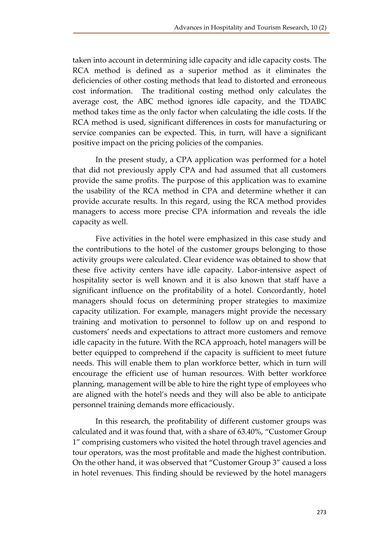taken into account in determining idle capacity and idle capacity costs. The RCA method is defined as a superior method as it eliminates the deficiencies of other costing methods that lead to distorted and erroneous cost information. The traditional costing method only calculates the average cost, the ABC method ignores idle capacity, and the TDABC method takes time as the only factor when calculating the idle costs. If the RCA method is used, significant differences in costs for manufacturing or service companies can be expected. This, in turn, will have a significant positive impact on the pricing policies of the companies.

In the present study, a CPA application was performed for a hotel that did not previously apply CPA and had assumed that all customers provide the same profits. The purpose of this application was to examine the usability of the RCA method in CPA and determine whether it can provide accurate results. In this regard, using the RCA method provides managers to access more precise CPA information and reveals the idle capacity as well.

Five activities in the hotel were emphasized in this case study and the contributions to the hotel of the customer groups belonging to those activity groups were calculated. Clear evidence was obtained to show that these five activity centers have idle capacity. Labor-intensive aspect of hospitality sector is well known and it is also known that staff have a significant influence on the profitability of a hotel. Concordantly, hotel managers should focus on determining proper strategies to maximize capacity utilization. For example, managers might provide the necessary training and motivation to personnel to follow up on and respond to customers' needs and expectations to attract more customers and remove idle capacity in the future. With the RCA approach, hotel managers will be better equipped to comprehend if the capacity is sufficient to meet future needs. This will enable them to plan workforce better, which in turn will encourage the efficient use of human resources. With better workforce planning, management will be able to hire the right type of employees who are aligned with the hotel's needs and they will also be able to anticipate personnel training demands more efficaciously.

In this research, the profitability of different customer groups was calculated and it was found that, with a share of 63.40%, "Customer Group 1" comprising customers who visited the hotel through travel agencies and tour operators, was the most profitable and made the highest contribution. On the other hand, it was observed that "Customer Group 3" caused a loss in hotel revenues. This finding should be reviewed by the hotel managers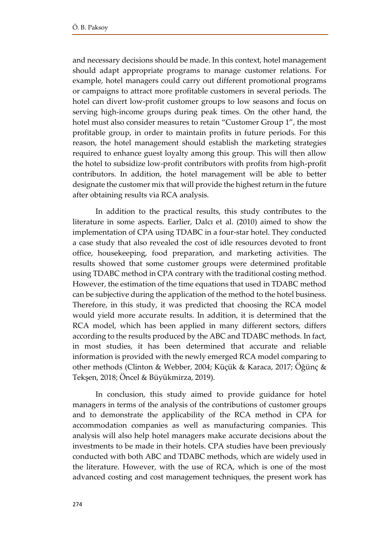and necessary decisions should be made. In this context, hotel management should adapt appropriate programs to manage customer relations. For example, hotel managers could carry out different promotional programs or campaigns to attract more profitable customers in several periods. The hotel can divert low-profit customer groups to low seasons and focus on serving high-income groups during peak times. On the other hand, the hotel must also consider measures to retain "Customer Group 1", the most profitable group, in order to maintain profits in future periods. For this reason, the hotel management should establish the marketing strategies required to enhance guest loyalty among this group. This will then allow the hotel to subsidize low-profit contributors with profits from high-profit contributors. In addition, the hotel management will be able to better designate the customer mix that will provide the highest return in the future after obtaining results via RCA analysis.

In addition to the practical results, this study contributes to the literature in some aspects. Earlier, Dalcı et al. (2010) aimed to show the implementation of CPA using TDABC in a four-star hotel. They conducted a case study that also revealed the cost of idle resources devoted to front office, housekeeping, food preparation, and marketing activities. The results showed that some customer groups were determined profitable using TDABC method in CPA contrary with the traditional costing method. However, the estimation of the time equations that used in TDABC method can be subjective during the application of the method to the hotel business. Therefore, in this study, it was predicted that choosing the RCA model would yield more accurate results. In addition, it is determined that the RCA model, which has been applied in many different sectors, differs according to the results produced by the ABC and TDABC methods. In fact, in most studies, it has been determined that accurate and reliable information is provided with the newly emerged RCA model comparing to other methods (Clinton & Webber, 2004; Küçük & Karaca, 2017; Öğünç & Tekşen, 2018; Öncel & Büyükmirza, 2019).

In conclusion, this study aimed to provide guidance for hotel managers in terms of the analysis of the contributions of customer groups and to demonstrate the applicability of the RCA method in CPA for accommodation companies as well as manufacturing companies. This analysis will also help hotel managers make accurate decisions about the investments to be made in their hotels. CPA studies have been previously conducted with both ABC and TDABC methods, which are widely used in the literature. However, with the use of RCA, which is one of the most advanced costing and cost management techniques, the present work has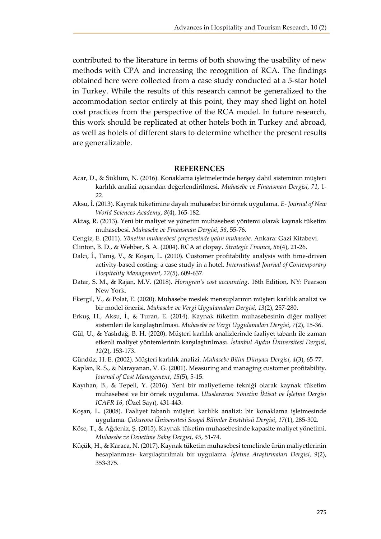contributed to the literature in terms of both showing the usability of new methods with CPA and increasing the recognition of RCA. The findings obtained here were collected from a case study conducted at a 5-star hotel in Turkey. While the results of this research cannot be generalized to the accommodation sector entirely at this point, they may shed light on hotel cost practices from the perspective of the RCA model. In future research, this work should be replicated at other hotels both in Turkey and abroad, as well as hotels of different stars to determine whether the present results are generalizable.

#### **REFERENCES**

- Acar, D., & Süklüm, N. (2016). Konaklama işletmelerinde herşey dahil sisteminin müşteri karlılık analizi açısından değerlendirilmesi. *Muhasebe ve Finansman Dergisi*, *71*, 1- 22.
- Aksu, İ. (2013). Kaynak tüketimine dayalı muhasebe: bir örnek uygulama. *E- Journal of New World Sciences Academy*, *8*(4), 165-182.
- Aktaş, R. (2013). Yeni bir maliyet ve yönetim muhasebesi yöntemi olarak kaynak tüketim muhasebesi. *Muhasebe ve Finansman Dergisi*, *58*, 55-76.
- Cengiz, E. (2011). *Yönetim muhasebesi çerçevesinde yalın muhasebe*. Ankara: Gazi Kitabevi.
- Clinton, B. D., & Webber, S. A. (2004). RCA at clopay. *Strategic Finance*, *86*(4), 21-26.
- Dalcı, İ., Tanış, V., & Koşan, L. (2010). Customer profitability analysis with time-driven activity-based costing: a case study in a hotel. *International Journal of Contemporary Hospitality Management*, *22*(5), 609-637.
- Datar, S. M., & Rajan, M.V. (2018). *Horngren's cost accounting*. 16th Edition, NY: Pearson New York.
- Ekergil, V., & Polat, E. (2020). Muhasebe meslek mensuplarının müşteri karlılık analizi ve bir model önerisi. *Muhasebe ve Vergi Uygulamaları Dergisi*, *13*(2), 257-280.
- Erkuş, H., Aksu, İ., & Turan, E. (2014). Kaynak tüketim muhasebesinin diğer maliyet sistemleri ile karşılaştırılması. *Muhasebe ve Vergi Uygulamaları Dergisi*, *7*(2), 15-36.
- Gül, U., & Yaslıdağ, B. H. (2020). Müşteri karlılık analizlerinde faaliyet tabanlı ile zaman etkenli maliyet yöntemlerinin karşılaştırılması. *İstanbul Aydın Üniversitesi Dergisi*, *12*(2), 153-173.
- Gündüz, H. E. (2002). Müşteri karlılık analizi. *Muhasebe Bilim Dünyası Dergisi*, *4*(3), 65-77.
- Kaplan, R. S., & Narayanan, V. G. (2001). Measuring and managing customer profitability. *Journal of Cost Management*, *15*(5), 5-15.
- Kayıhan, B., & Tepeli, Y. (2016). Yeni bir maliyetleme tekniği olarak kaynak tüketim muhasebesi ve bir örnek uygulama. *Uluslararası Yönetim İktisat ve İşletme Dergisi ICAFR 16*, (Özel Sayı), 431-443.
- Koşan, L. (2008). Faaliyet tabanlı müşteri karlılık analizi: bir konaklama işletmesinde uygulama. *Çukurova Üniversitesi Sosyal Bilimler Enstitüsü Dergisi*, *17*(1), 285-302.
- Köse, T., & Ağdeniz, Ş. (2015). Kaynak tüketim muhasebesinde kapasite maliyet yönetimi. *Muhasebe ve Denetime Bakış Dergisi*, *45*, 51-74.
- Küçük, H., & Karaca, N. (2017). Kaynak tüketim muhasebesi temelinde ürün maliyetlerinin hesaplanması- karşılaştırılmalı bir uygulama. *İşletme Araştırmaları Dergisi*, *9*(2), 353-375.